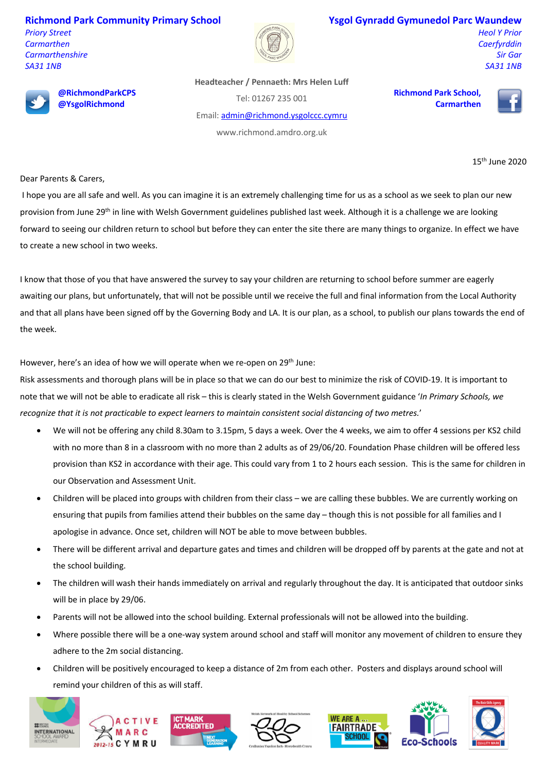**Richmond Park Community Primary School** *Priory Street Carmarthen Carmarthenshire SA31 1NB*



## **Ysgol Gynradd Gymunedol Parc Waundew**

*Heol Y Prior Caerfyrddin Sir Gar SA31 1NB*

15th June 2020



**@RichmondParkCPS @YsgolRichmond**

**Headteacher / Pennaeth: Mrs Helen Luff**

Tel: 01267 235 001

Email: admin@richmond.ysgolccc.cymru

www.richmond.amdro.org.uk

**Richmond Park School, Carmarthen**



Dear Parents & Carers,

I hope you are all safe and well. As you can imagine it is an extremely challenging time for us as a school as we seek to plan our new provision from June 29<sup>th</sup> in line with Welsh Government guidelines published last week. Although it is a challenge we are looking forward to seeing our children return to school but before they can enter the site there are many things to organize. In effect we have to create a new school in two weeks.

I know that those of you that have answered the survey to say your children are returning to school before summer are eagerly awaiting our plans, but unfortunately, that will not be possible until we receive the full and final information from the Local Authority and that all plans have been signed off by the Governing Body and LA. It is our plan, as a school, to publish our plans towards the end of the week.

However, here's an idea of how we will operate when we re-open on  $29<sup>th</sup>$  June:

Risk assessments and thorough plans will be in place so that we can do our best to minimize the risk of COVID-19. It is important to note that we will not be able to eradicate all risk – this is clearly stated in the Welsh Government guidance '*In Primary Schools, we recognize that it is not practicable to expect learners to maintain consistent social distancing of two metres.*'

- We will not be offering any child 8.30am to 3.15pm, 5 days a week. Over the 4 weeks, we aim to offer 4 sessions per KS2 child with no more than 8 in a classroom with no more than 2 adults as of 29/06/20. Foundation Phase children will be offered less provision than KS2 in accordance with their age. This could vary from 1 to 2 hours each session. This is the same for children in our Observation and Assessment Unit.
- Children will be placed into groups with children from their class we are calling these bubbles. We are currently working on ensuring that pupils from families attend their bubbles on the same day – though this is not possible for all families and I apologise in advance. Once set, children will NOT be able to move between bubbles.
- There will be different arrival and departure gates and times and children will be dropped off by parents at the gate and not at the school building.
- The children will wash their hands immediately on arrival and regularly throughout the day. It is anticipated that outdoor sinks will be in place by 29/06.
- Parents will not be allowed into the school building. External professionals will not be allowed into the building.
- Where possible there will be a one-way system around school and staff will monitor any movement of children to ensure they adhere to the 2m social distancing.
- Children will be positively encouraged to keep a distance of 2m from each other. Posters and displays around school will remind your children of this as will staff.